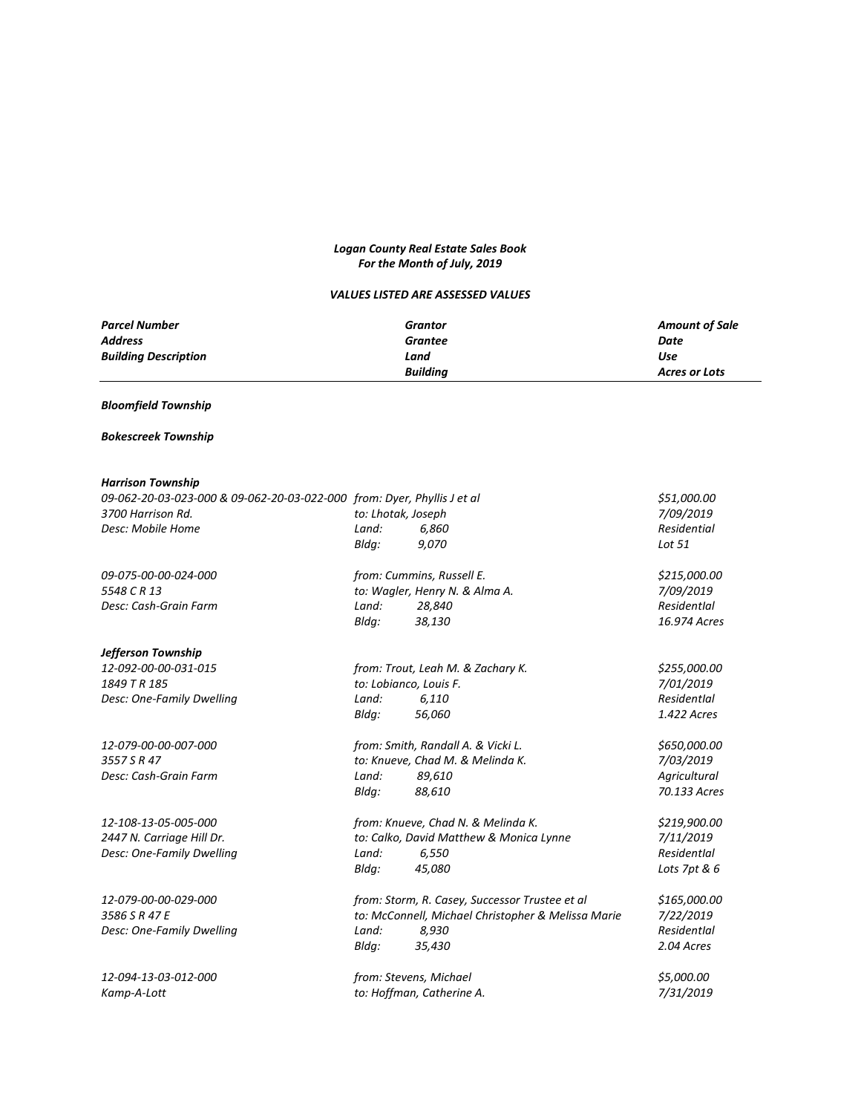# *Logan County Real Estate Sales Book For the Month of July, 2019*

# *VALUES LISTED ARE ASSESSED VALUES*

| <b>Parcel Number</b>        | Grantor         | <b>Amount of Sale</b> |
|-----------------------------|-----------------|-----------------------|
| <b>Address</b>              | Grantee         | Date                  |
| <b>Building Description</b> | Land            | Use                   |
|                             | <b>Building</b> | Acres or Lots         |

# *Bloomfield Township*

# *Bokescreek Township*

## *Harrison Township*

| 09-062-20-03-023-000 & 09-062-20-03-022-000 from: Dyer, Phyllis J et al |                    | \$51,000.00<br>7/09/2019                           |              |
|-------------------------------------------------------------------------|--------------------|----------------------------------------------------|--------------|
| 3700 Harrison Rd.                                                       | to: Lhotak, Joseph |                                                    |              |
| Desc: Mobile Home                                                       | Land:              | 6,860                                              | Residential  |
|                                                                         | Bldg:              | 9,070                                              | Lot 51       |
| 09-075-00-00-024-000                                                    |                    | from: Cummins, Russell E.                          | \$215,000.00 |
| 5548 C R 13                                                             |                    | to: Wagler, Henry N. & Alma A.                     | 7/09/2019    |
| Desc: Cash-Grain Farm                                                   | Land:              | 28,840                                             | Residentlal  |
|                                                                         | Bldg:              | 38,130                                             | 16.974 Acres |
| Jefferson Township                                                      |                    |                                                    |              |
| 12-092-00-00-031-015                                                    |                    | from: Trout, Leah M. & Zachary K.                  | \$255,000.00 |
| 1849 T R 185                                                            |                    | to: Lobianco, Louis F.                             | 7/01/2019    |
| Desc: One-Family Dwelling                                               | Land:              | 6,110                                              | Residentlal  |
|                                                                         | Bldg:              | 56,060                                             | 1.422 Acres  |
| 12-079-00-00-007-000                                                    |                    | from: Smith, Randall A. & Vicki L.                 | \$650,000.00 |
| 3557 S R 47                                                             |                    | to: Knueve, Chad M. & Melinda K.                   | 7/03/2019    |
| Desc: Cash-Grain Farm                                                   | Land:              | 89,610                                             | Agricultural |
|                                                                         | Bldg:              | 88,610                                             | 70.133 Acres |
| 12-108-13-05-005-000                                                    |                    | from: Knueve, Chad N. & Melinda K.                 | \$219,900.00 |
| 2447 N. Carriage Hill Dr.                                               |                    | to: Calko, David Matthew & Monica Lynne            | 7/11/2019    |
| Desc: One-Family Dwelling                                               | Land:              | 6,550                                              | Residentlal  |
|                                                                         | Bldg:              | 45,080                                             | Lots 7pt & 6 |
| 12-079-00-00-029-000                                                    |                    | from: Storm, R. Casey, Successor Trustee et al     | \$165,000.00 |
| 3586 S R 47 E                                                           |                    | to: McConnell, Michael Christopher & Melissa Marie | 7/22/2019    |
| Desc: One-Family Dwelling                                               | Land:              | 8,930                                              | Residentlal  |
|                                                                         | Bldq:              | 35,430                                             | 2.04 Acres   |
| 12-094-13-03-012-000                                                    |                    | from: Stevens, Michael                             | \$5,000.00   |
| Kamp-A-Lott                                                             |                    | to: Hoffman, Catherine A.                          | 7/31/2019    |
|                                                                         |                    |                                                    |              |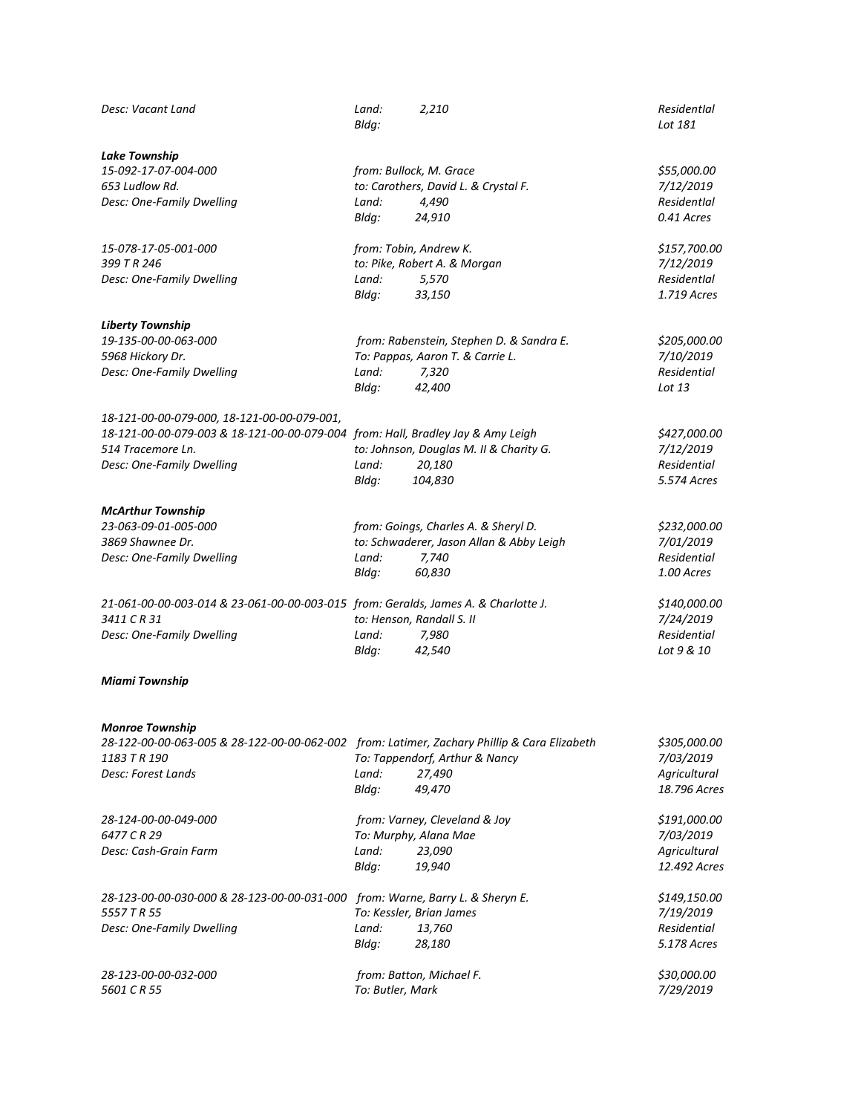| Desc: Vacant Land                                                                           | Land:<br>Bldg:            | 2,210                                    | Residentlal<br>Lot 181 |
|---------------------------------------------------------------------------------------------|---------------------------|------------------------------------------|------------------------|
| <b>Lake Township</b>                                                                        |                           |                                          |                        |
| 15-092-17-07-004-000                                                                        |                           | from: Bullock, M. Grace                  | \$55,000.00            |
| 653 Ludlow Rd.                                                                              |                           | to: Carothers, David L. & Crystal F.     | 7/12/2019              |
| Desc: One-Family Dwelling                                                                   | Land:                     | 4,490                                    | Residentlal            |
|                                                                                             | Bldg:                     | 24,910                                   | 0.41 Acres             |
| 15-078-17-05-001-000                                                                        |                           | from: Tobin, Andrew K.                   | \$157,700.00           |
| 399 T R 246                                                                                 |                           | to: Pike, Robert A. & Morgan             | 7/12/2019              |
| Desc: One-Family Dwelling                                                                   | Land:                     | 5,570                                    | Residentlal            |
|                                                                                             | Bldg:                     | 33,150                                   | 1.719 Acres            |
| <b>Liberty Township</b>                                                                     |                           |                                          |                        |
| 19-135-00-00-063-000                                                                        |                           | from: Rabenstein, Stephen D. & Sandra E. | \$205,000.00           |
| 5968 Hickory Dr.                                                                            |                           | To: Pappas, Aaron T. & Carrie L.         | 7/10/2019              |
| Desc: One-Family Dwelling                                                                   | Land:                     | 7,320                                    | Residential            |
|                                                                                             | Bldg:                     | 42,400                                   | Lot 13                 |
| 18-121-00-00-079-000, 18-121-00-00-079-001,                                                 |                           |                                          |                        |
| 18-121-00-00-079-003 & 18-121-00-00-079-004 from: Hall, Bradley Jay & Amy Leigh             |                           |                                          | \$427,000.00           |
| 514 Tracemore Ln.                                                                           |                           | to: Johnson, Douglas M. II & Charity G.  | 7/12/2019              |
| Desc: One-Family Dwelling                                                                   | Land:                     | 20,180                                   | Residential            |
|                                                                                             | Bldg:                     | 104,830                                  | 5.574 Acres            |
| <b>McArthur Township</b>                                                                    |                           |                                          |                        |
| 23-063-09-01-005-000                                                                        |                           | from: Goings, Charles A. & Sheryl D.     | \$232,000.00           |
| 3869 Shawnee Dr.                                                                            |                           | to: Schwaderer, Jason Allan & Abby Leigh | 7/01/2019              |
| Desc: One-Family Dwelling                                                                   | Land:                     | 7,740                                    | Residential            |
|                                                                                             | Bldg:                     | 60,830                                   | 1.00 Acres             |
| 21-061-00-00-003-014 & 23-061-00-00-003-015 from: Geralds, James A. & Charlotte J.          |                           |                                          | \$140,000.00           |
| 3411 C R 31                                                                                 | to: Henson, Randall S. II |                                          | 7/24/2019              |
| Desc: One-Family Dwelling                                                                   | Land:                     | 7,980                                    | Residential            |
|                                                                                             | Bldg:                     | 42,540                                   | Lot 9 & 10             |
| <b>Miami Township</b>                                                                       |                           |                                          |                        |
| <b>Monroe Township</b>                                                                      |                           |                                          |                        |
| 28-122-00-00-063-005 & 28-122-00-00-062-002 from: Latimer, Zachary Phillip & Cara Elizabeth |                           |                                          | \$305,000.00           |
| 1183 T R 190                                                                                |                           | To: Tappendorf, Arthur & Nancy           | 7/03/2019              |
| Desc: Forest Lands                                                                          | Land:                     | 27,490                                   | Agricultural           |
|                                                                                             | Bldg:                     | 49,470                                   | 18.796 Acres           |
| 28-124-00-00-049-000                                                                        |                           | from: Varney, Cleveland & Joy            | \$191,000.00           |
| 6477 C R 29                                                                                 |                           | To: Murphy, Alana Mae                    | 7/03/2019              |
| Desc: Cash-Grain Farm                                                                       | Land:                     | 23,090                                   | Agricultural           |
|                                                                                             | Bldg:                     | 19,940                                   | 12.492 Acres           |
| 28-123-00-00-030-000 & 28-123-00-00-031-000                                                 |                           | from: Warne, Barry L. & Sheryn E.        | \$149,150.00           |
| 5557 T R 55                                                                                 |                           | To: Kessler, Brian James                 | 7/19/2019              |
| Desc: One-Family Dwelling                                                                   | Land:                     | 13,760                                   | Residential            |
|                                                                                             | Bldg:                     | 28,180                                   | 5.178 Acres            |
| 28-123-00-00-032-000                                                                        |                           | from: Batton, Michael F.                 | \$30,000.00            |
| 5601 C R 55                                                                                 | To: Butler, Mark          |                                          | 7/29/2019              |
|                                                                                             |                           |                                          |                        |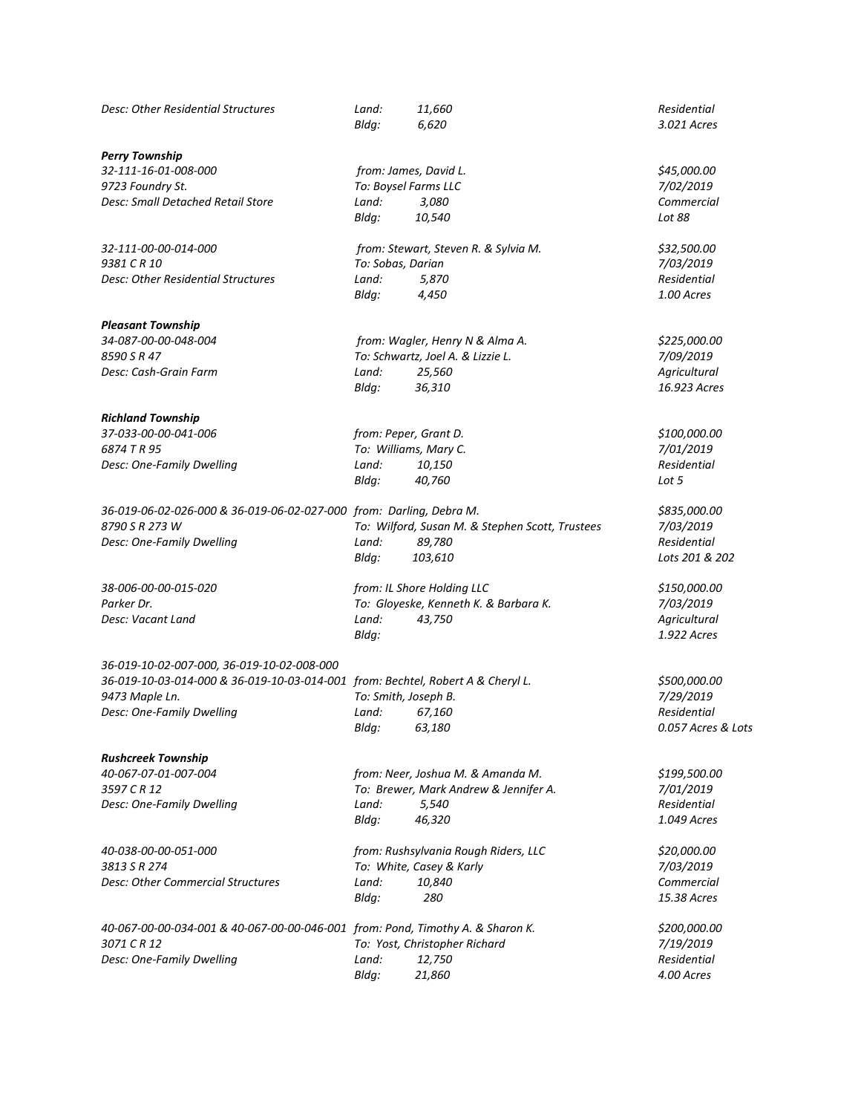| Desc: Other Residential Structures                                              | Land:<br>Bldg:        | 11,660<br>6,620                                 | Residential<br>3.021 Acres |
|---------------------------------------------------------------------------------|-----------------------|-------------------------------------------------|----------------------------|
| <b>Perry Township</b>                                                           |                       |                                                 |                            |
| 32-111-16-01-008-000                                                            |                       | from: James, David L.                           | \$45,000.00                |
| 9723 Foundry St.                                                                | To: Boysel Farms LLC  |                                                 | 7/02/2019                  |
| Desc: Small Detached Retail Store                                               | Land:                 | 3,080                                           | Commercial                 |
|                                                                                 | Bldg:                 | 10,540                                          | Lot 88                     |
| 32-111-00-00-014-000                                                            |                       | from: Stewart, Steven R. & Sylvia M.            | \$32,500.00                |
| 9381 C R 10                                                                     | To: Sobas, Darian     |                                                 | 7/03/2019                  |
| Desc: Other Residential Structures                                              | Land:                 | 5,870                                           | Residential                |
|                                                                                 | Bldg:                 | 4,450                                           | 1.00 Acres                 |
| <b>Pleasant Township</b>                                                        |                       |                                                 |                            |
| 34-087-00-00-048-004                                                            |                       | from: Wagler, Henry N & Alma A.                 | \$225,000.00               |
| 8590 S R 47                                                                     |                       | To: Schwartz, Joel A. & Lizzie L.               | 7/09/2019                  |
| Desc: Cash-Grain Farm                                                           | Land:                 | 25,560                                          | Agricultural               |
|                                                                                 | Bldg:                 | 36,310                                          | 16.923 Acres               |
| <b>Richland Township</b>                                                        |                       |                                                 |                            |
| 37-033-00-00-041-006                                                            | from: Peper, Grant D. |                                                 | \$100,000.00               |
| 6874 T R 95                                                                     |                       | To: Williams, Mary C.                           | 7/01/2019                  |
| Desc: One-Family Dwelling                                                       | Land:                 | 10,150                                          | Residential                |
|                                                                                 | Bldg:                 | 40,760                                          | Lot 5                      |
| 36-019-06-02-026-000 & 36-019-06-02-027-000 from: Darling, Debra M.             |                       |                                                 | \$835,000.00               |
| 8790 S R 273 W                                                                  |                       | To: Wilford, Susan M. & Stephen Scott, Trustees | 7/03/2019                  |
| Desc: One-Family Dwelling                                                       | Land:                 | 89,780                                          | Residential                |
|                                                                                 | Bldq:                 | 103,610                                         | Lots 201 & 202             |
| 38-006-00-00-015-020                                                            |                       | from: IL Shore Holding LLC                      | \$150,000.00               |
| Parker Dr.                                                                      |                       | To: Gloyeske, Kenneth K. & Barbara K.           | 7/03/2019                  |
| Desc: Vacant Land                                                               | Land:                 | 43,750                                          | Agricultural               |
|                                                                                 | Bldg:                 |                                                 | 1.922 Acres                |
| 36-019-10-02-007-000, 36-019-10-02-008-000                                      |                       |                                                 |                            |
| 36-019-10-03-014-000 & 36-019-10-03-014-001 from: Bechtel, Robert A & Cheryl L. |                       |                                                 | \$500,000.00               |
| 9473 Maple Ln.                                                                  | To: Smith, Joseph B.  |                                                 | 7/29/2019                  |
| Desc: One-Family Dwelling                                                       | Land:                 | 67,160                                          | Residential                |
|                                                                                 | Bldg:                 | 63,180                                          | 0.057 Acres & Lots         |
| <b>Rushcreek Township</b>                                                       |                       |                                                 |                            |
| 40-067-07-01-007-004                                                            |                       | from: Neer, Joshua M. & Amanda M.               | \$199,500.00               |
| 3597 C R 12                                                                     |                       | To: Brewer, Mark Andrew & Jennifer A.           | 7/01/2019                  |
| Desc: One-Family Dwelling                                                       | Land:                 | 5,540                                           | Residential                |
|                                                                                 | Bldg:                 | 46,320                                          | 1.049 Acres                |
| 40-038-00-00-051-000                                                            |                       | from: Rushsylvania Rough Riders, LLC            | \$20,000.00                |
| 3813 S R 274                                                                    |                       | To: White, Casey & Karly                        | 7/03/2019                  |
| <b>Desc: Other Commercial Structures</b>                                        | Land:                 | 10,840                                          | Commercial                 |
|                                                                                 | Bldg:                 | 280                                             | 15.38 Acres                |
| 40-067-00-00-034-001 & 40-067-00-00-046-001 from: Pond, Timothy A. & Sharon K.  |                       |                                                 | \$200,000.00               |
| 3071 CR 12                                                                      |                       | To: Yost, Christopher Richard                   | 7/19/2019                  |
| Desc: One-Family Dwelling                                                       | Land:                 | 12,750                                          | Residential                |
|                                                                                 | Bldg:                 | 21,860                                          | 4.00 Acres                 |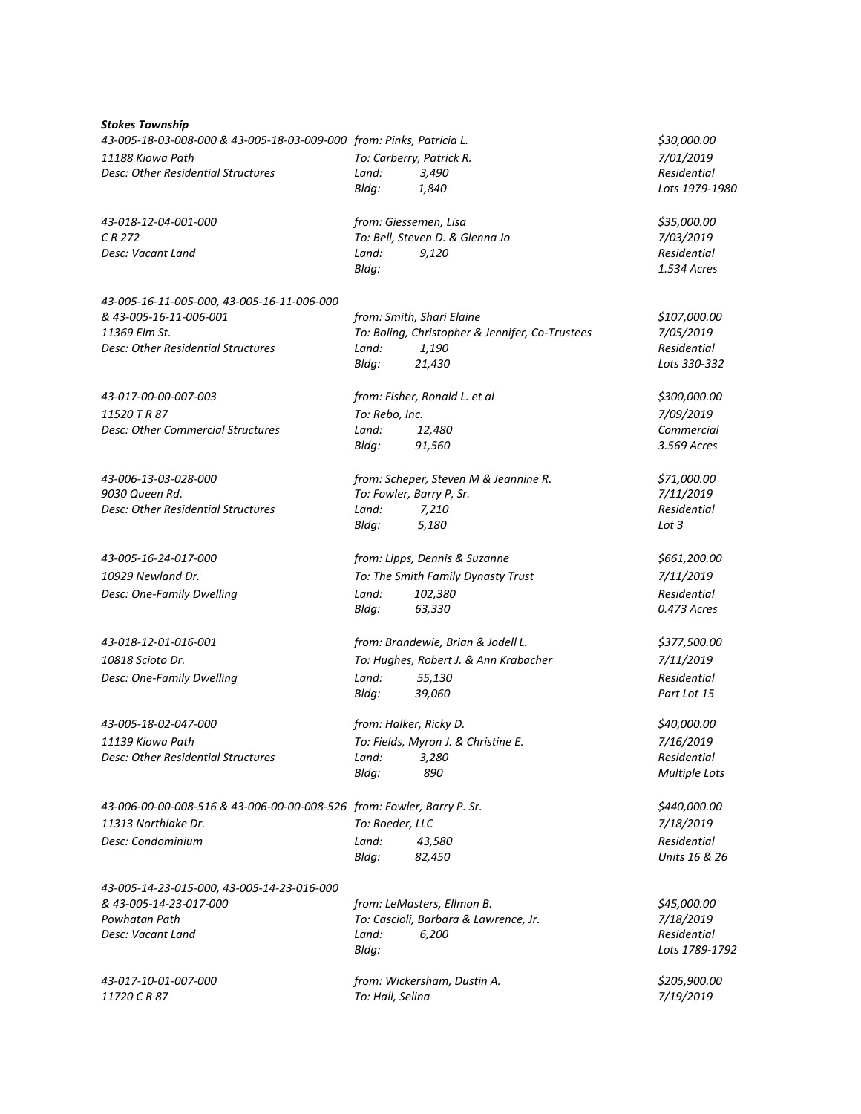| <b>Stokes Township</b>                                                 |                          |                                                 |                      |
|------------------------------------------------------------------------|--------------------------|-------------------------------------------------|----------------------|
| 43-005-18-03-008-000 & 43-005-18-03-009-000 from: Pinks, Patricia L.   |                          |                                                 | \$30,000.00          |
| 11188 Kiowa Path                                                       | To: Carberry, Patrick R. |                                                 | 7/01/2019            |
| Desc: Other Residential Structures                                     | Land:                    | 3,490                                           | Residential          |
|                                                                        | Bldg:                    | 1,840                                           | Lots 1979-1980       |
| 43-018-12-04-001-000                                                   | from: Giessemen, Lisa    |                                                 | \$35,000.00          |
| CR 272                                                                 |                          | To: Bell, Steven D. & Glenna Jo                 | 7/03/2019            |
| Desc: Vacant Land                                                      | Land:                    | 9,120                                           | Residential          |
|                                                                        | Bldg:                    |                                                 | 1.534 Acres          |
| 43-005-16-11-005-000, 43-005-16-11-006-000                             |                          |                                                 |                      |
| & 43-005-16-11-006-001                                                 |                          | from: Smith, Shari Elaine                       | \$107,000.00         |
| 11369 Elm St.                                                          |                          | To: Boling, Christopher & Jennifer, Co-Trustees | 7/05/2019            |
| Desc: Other Residential Structures                                     | Land:                    | 1,190                                           | Residential          |
|                                                                        | Bldg:                    | 21,430                                          | Lots 330-332         |
| 43-017-00-00-007-003                                                   |                          | from: Fisher, Ronald L. et al                   | \$300,000.00         |
| 11520 T R 87                                                           | To: Rebo, Inc.           |                                                 | 7/09/2019            |
| <b>Desc: Other Commercial Structures</b>                               | Land:                    | 12,480                                          | Commercial           |
|                                                                        | Bldg:                    | 91,560                                          | 3.569 Acres          |
| 43-006-13-03-028-000                                                   |                          | from: Scheper, Steven M & Jeannine R.           | \$71,000.00          |
| 9030 Queen Rd.                                                         | To: Fowler, Barry P, Sr. |                                                 | 7/11/2019            |
| Desc: Other Residential Structures                                     | Land:                    | 7,210                                           | Residential          |
|                                                                        | Bldg:                    | 5,180                                           | Lot 3                |
| 43-005-16-24-017-000                                                   |                          | from: Lipps, Dennis & Suzanne                   | \$661,200.00         |
| 10929 Newland Dr.                                                      |                          | To: The Smith Family Dynasty Trust              | 7/11/2019            |
| Desc: One-Family Dwelling                                              | Land:                    | 102,380                                         | Residential          |
|                                                                        | Bldg:                    | 63,330                                          | 0.473 Acres          |
| 43-018-12-01-016-001                                                   |                          | from: Brandewie, Brian & Jodell L.              | \$377,500.00         |
| 10818 Scioto Dr.                                                       |                          | To: Hughes, Robert J. & Ann Krabacher           | 7/11/2019            |
| Desc: One-Family Dwelling                                              | Land:                    | 55,130                                          | Residential          |
|                                                                        | Bldg:                    | 39,060                                          | Part Lot 15          |
| 43-005-18-02-047-000                                                   | from: Halker, Ricky D.   |                                                 | \$40,000.00          |
| 11139 Kiowa Path                                                       |                          | To: Fields, Myron J. & Christine E.             | 7/16/2019            |
| Desc: Other Residential Structures                                     | Land:                    | 3,280                                           | Residential          |
|                                                                        | Bldg:                    | 890                                             | <b>Multiple Lots</b> |
| 43-006-00-00-008-516 & 43-006-00-00-008-526 from: Fowler, Barry P. Sr. |                          |                                                 | \$440,000.00         |
| 11313 Northlake Dr.                                                    | To: Roeder, LLC          |                                                 | 7/18/2019            |
| Desc: Condominium                                                      | Land:                    | 43,580                                          | Residential          |
|                                                                        | Bldg:                    | 82,450                                          | Units 16 & 26        |
| 43-005-14-23-015-000, 43-005-14-23-016-000                             |                          |                                                 |                      |
| & 43-005-14-23-017-000                                                 |                          | from: LeMasters, Ellmon B.                      | \$45,000.00          |
| Powhatan Path                                                          |                          | To: Cascioli, Barbara & Lawrence, Jr.           | 7/18/2019            |
| Desc: Vacant Land                                                      | Land:                    | 6,200                                           | Residential          |
|                                                                        | Bldg:                    |                                                 | Lots 1789-1792       |
| 43-017-10-01-007-000                                                   |                          | from: Wickersham, Dustin A.                     | \$205,900.00         |
| 11720 CR87                                                             | To: Hall, Selina         |                                                 | 7/19/2019            |
|                                                                        |                          |                                                 |                      |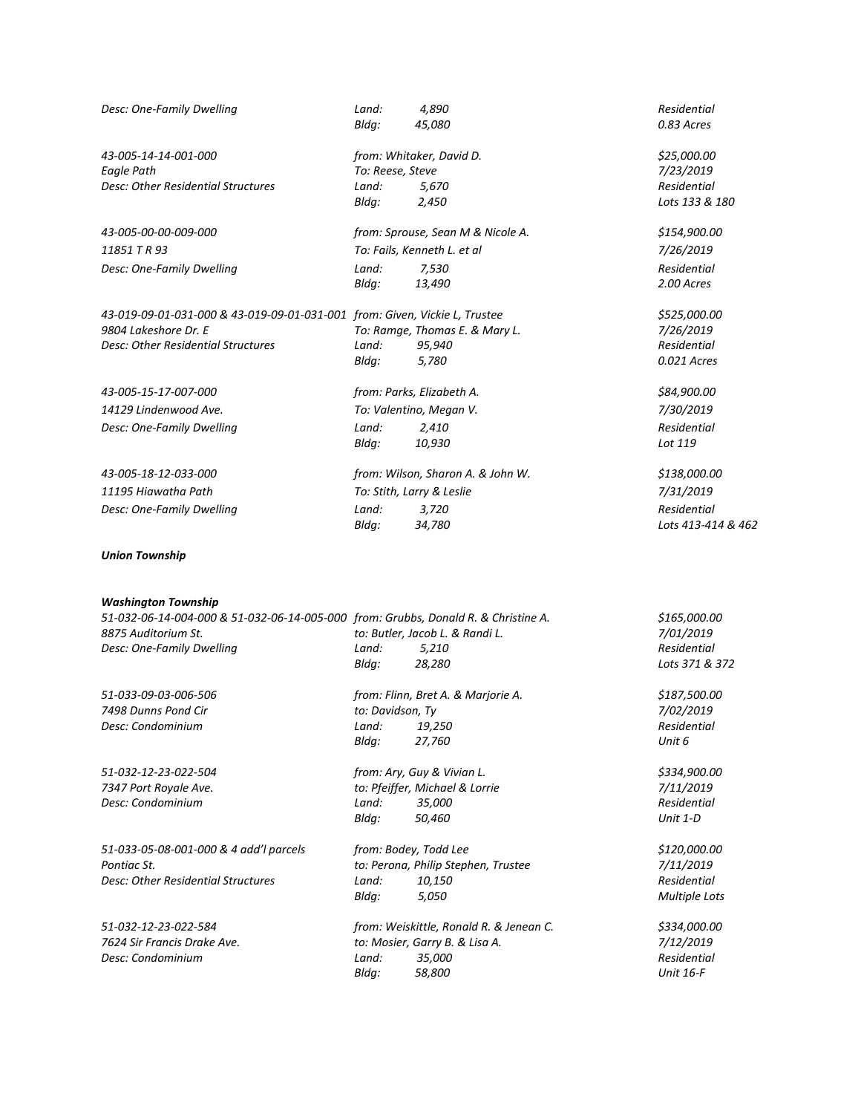| Desc: One-Family Dwelling                                                                                                                                            | Land:<br>Bldg:   | 4,890<br>45,080                                    | Residential<br>0.83 Acres                                  |
|----------------------------------------------------------------------------------------------------------------------------------------------------------------------|------------------|----------------------------------------------------|------------------------------------------------------------|
| 43-005-14-14-001-000                                                                                                                                                 |                  | from: Whitaker, David D.                           | \$25,000.00                                                |
| Eagle Path                                                                                                                                                           | To: Reese, Steve |                                                    | 7/23/2019                                                  |
| <b>Desc: Other Residential Structures</b>                                                                                                                            | Land:            | 5,670                                              | Residential                                                |
|                                                                                                                                                                      | Bldg:            | 2,450                                              | Lots 133 & 180                                             |
| 43-005-00-00-009-000                                                                                                                                                 |                  | from: Sprouse, Sean M & Nicole A.                  | \$154,900.00                                               |
| 11851 T R 93                                                                                                                                                         |                  | To: Fails, Kenneth L. et al                        | 7/26/2019                                                  |
| Desc: One-Family Dwelling                                                                                                                                            | Land:            | 7,530                                              | Residential                                                |
|                                                                                                                                                                      | Bldg:            | 13,490                                             | 2.00 Acres                                                 |
| 43-019-09-01-031-000 & 43-019-09-01-031-001 from: Given, Vickie L, Trustee                                                                                           |                  |                                                    | \$525,000.00                                               |
| 9804 Lakeshore Dr. E                                                                                                                                                 |                  | To: Ramge, Thomas E. & Mary L.                     | 7/26/2019                                                  |
| Desc: Other Residential Structures                                                                                                                                   | Land:            | 95,940                                             | Residential                                                |
|                                                                                                                                                                      | Bldg:            | 5,780                                              | 0.021 Acres                                                |
| 43-005-15-17-007-000                                                                                                                                                 |                  | from: Parks, Elizabeth A.                          | \$84,900.00                                                |
| 14129 Lindenwood Ave.                                                                                                                                                |                  | To: Valentino, Megan V.                            | 7/30/2019                                                  |
| Desc: One-Family Dwelling                                                                                                                                            | Land:            | 2,410                                              | Residential                                                |
|                                                                                                                                                                      | Bldg:            | 10,930                                             | Lot 119                                                    |
| 43-005-18-12-033-000                                                                                                                                                 |                  | from: Wilson, Sharon A. & John W.                  | \$138,000.00                                               |
| 11195 Hiawatha Path                                                                                                                                                  |                  | To: Stith, Larry & Leslie                          | 7/31/2019                                                  |
| Desc: One-Family Dwelling                                                                                                                                            | Land:            | 3,720                                              | Residential                                                |
|                                                                                                                                                                      | Bldg:            | 34,780                                             | Lots 413-414 & 462                                         |
| <b>Union Township</b>                                                                                                                                                |                  |                                                    |                                                            |
| <b>Washington Township</b><br>51-032-06-14-004-000 & 51-032-06-14-005-000 from: Grubbs, Donald R. & Christine A.<br>8875 Auditorium St.<br>Desc: One-Family Dwelling | Land:<br>Bldg:   | to: Butler, Jacob L. & Randi L.<br>5,210<br>28,280 | \$165,000.00<br>7/01/2019<br>Residential<br>Lots 371 & 372 |
| 51-033-09-03-006-506                                                                                                                                                 |                  | from: Flinn, Bret A. & Marjorie A.                 | \$187,500.00                                               |
| 7498 Dunns Pond Cir                                                                                                                                                  | to: Davidson, Ty |                                                    | 7/02/2019                                                  |
| Desc: Condominium                                                                                                                                                    | Land:            | 19,250                                             | Residential                                                |
|                                                                                                                                                                      | Bldg:            | 27,760                                             | Unit 6                                                     |
| 51-032-12-23-022-504                                                                                                                                                 |                  | from: Ary, Guy & Vivian L.                         | \$334,900.00                                               |
| 7347 Port Royale Ave.                                                                                                                                                |                  | to: Pfeiffer, Michael & Lorrie                     | 7/11/2019                                                  |
| Desc: Condominium                                                                                                                                                    | Land:            | 35,000                                             | Residential                                                |
|                                                                                                                                                                      | Bldg:            | 50,460                                             | Unit 1-D                                                   |
| 51-033-05-08-001-000 & 4 add'l parcels                                                                                                                               |                  | from: Bodey, Todd Lee                              | \$120,000.00                                               |
| Pontiac St.                                                                                                                                                          |                  | to: Perona, Philip Stephen, Trustee                | 7/11/2019                                                  |
| Desc: Other Residential Structures                                                                                                                                   | Land:            | 10,150                                             | Residential                                                |
|                                                                                                                                                                      | Bldg:            | 5,050                                              | <b>Multiple Lots</b>                                       |
| 51-032-12-23-022-584                                                                                                                                                 |                  | from: Weiskittle, Ronald R. & Jenean C.            | \$334,000.00                                               |
| 7624 Sir Francis Drake Ave.                                                                                                                                          |                  | to: Mosier, Garry B. & Lisa A.                     | 7/12/2019                                                  |
| Desc: Condominium                                                                                                                                                    | Land:<br>Bldg:   | 35,000<br>58,800                                   | Residential<br><b>Unit 16-F</b>                            |
|                                                                                                                                                                      |                  |                                                    |                                                            |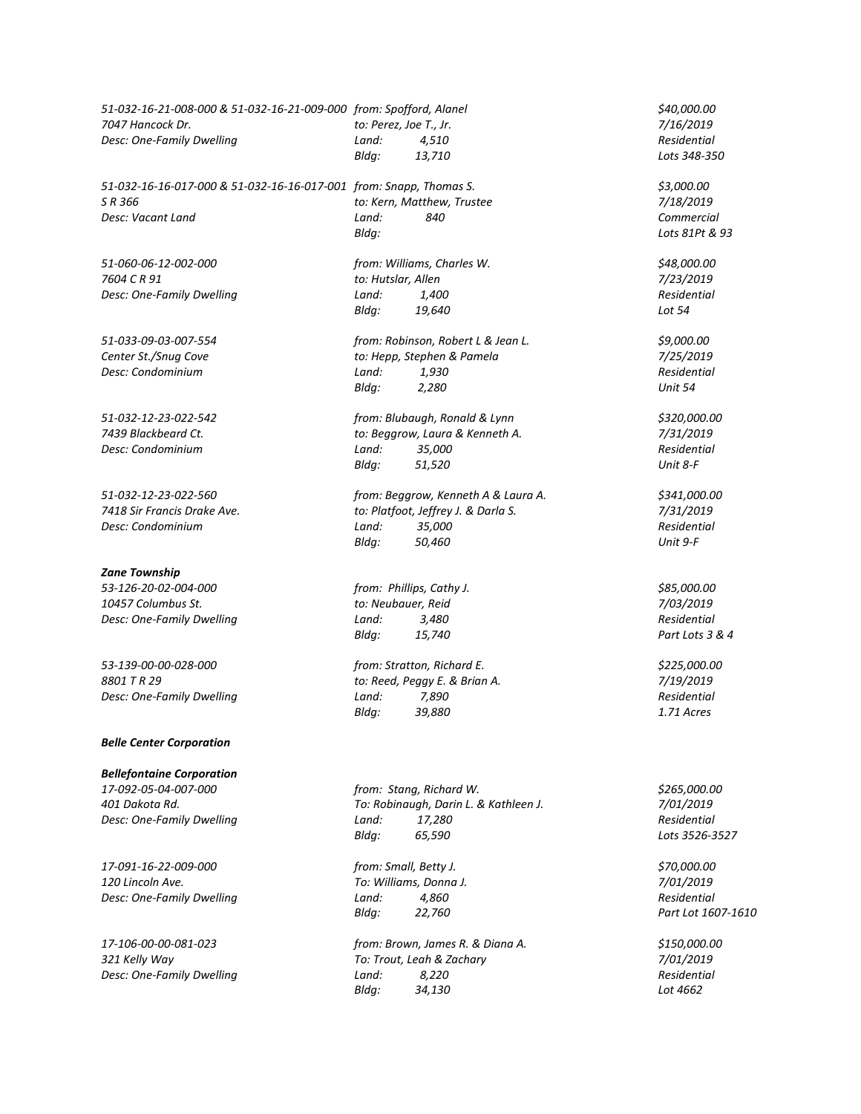*51-032-16-21-008-000 & 51-032-16-21-009-000 from: Spofford, Alanel \$40,000.00 7047 Hancock Dr. to: Perez, Joe T., Jr. 7/16/2019 Desc: One-Family Dwelling Land: 4,510 Residential Bldg: 13,710 Lots 348-350 51-032-16-16-017-000 & 51-032-16-16-017-001 from: Snapp, Thomas S. \$3,000.00 S R 366 to: Kern, Matthew, Trustee 7/18/2019 Desc: Vacant Land Land: 840 Commercial Bldg: Lots 81Pt & 93 51-060-06-12-002-000 from: Williams, Charles W. \$48,000.00 7604 C R 91 to: Hutslar, Allen 7/23/2019 Desc: One-Family Dwelling Land: 1,400 Residential Bldg: 19,640 Lot 54 51-033-09-03-007-554 from: Robinson, Robert L & Jean L. \$9,000.00 Center St./Snug Cove to: Hepp, Stephen & Pamela 7/25/2019 Desc: Condominium Land: 1,930 Residential Bldg: 2,280 Unit 54 51-032-12-23-022-542 from: Blubaugh, Ronald & Lynn \$320,000.00 7439 Blackbeard Ct. to: Beggrow, Laura & Kenneth A. 7/31/2019 Desc: Condominium Land: 35,000 Residential Bldg: 51,520 Unit 8-F 51-032-12-23-022-560 from: Beggrow, Kenneth A & Laura A. \$341,000.00 7418 Sir Francis Drake Ave. to: Platfoot, Jeffrey J. & Darla S. 7/31/2019 Desc: Condominium Land: 35,000 Residential Bldg: 50,460 Unit 9-F Zane Township 53-126-20-02-004-000 from: Phillips, Cathy J. \$85,000.00 10457 Columbus St. to: Neubauer, Reid 7/03/2019 Desc: One-Family Dwelling Land: 3,480 Residential Bldg: 15,740 Part Lots 3 & 4 53-139-00-00-028-000 from: Stratton, Richard E. \$225,000.00 8801 T R 29 to: Reed, Peggy E. & Brian A. 7/19/2019 Desc: One-Family Dwelling Land: 7,890 Residential Bldg: 39,880 1.71 Acres Belle Center Corporation Bellefontaine Corporation 17-092-05-04-007-000 from: Stang, Richard W. \$265,000.00 401 Dakota Rd. To: Robinaugh, Darin L. & Kathleen J. 7/01/2019 Desc: One-Family Dwelling Land: 17,280 Residential Bldg: 65,590 Lots 3526-3527 17-091-16-22-009-000 from: Small, Betty J. \$70,000.00 120 Lincoln Ave. To: Williams, Donna J. 7/01/2019 Desc: One-Family Dwelling Land: 4,860 Residential Bldg: 22,760 Part Lot 1607-1610 17-106-00-00-081-023 from: Brown, James R. & Diana A. \$150,000.00 321 Kelly Way To: Trout, Leah & Zachary 7/01/2019 Desc: One-Family Dwelling Land:* 8,220

*Bldg: 34,130 Lot 4662*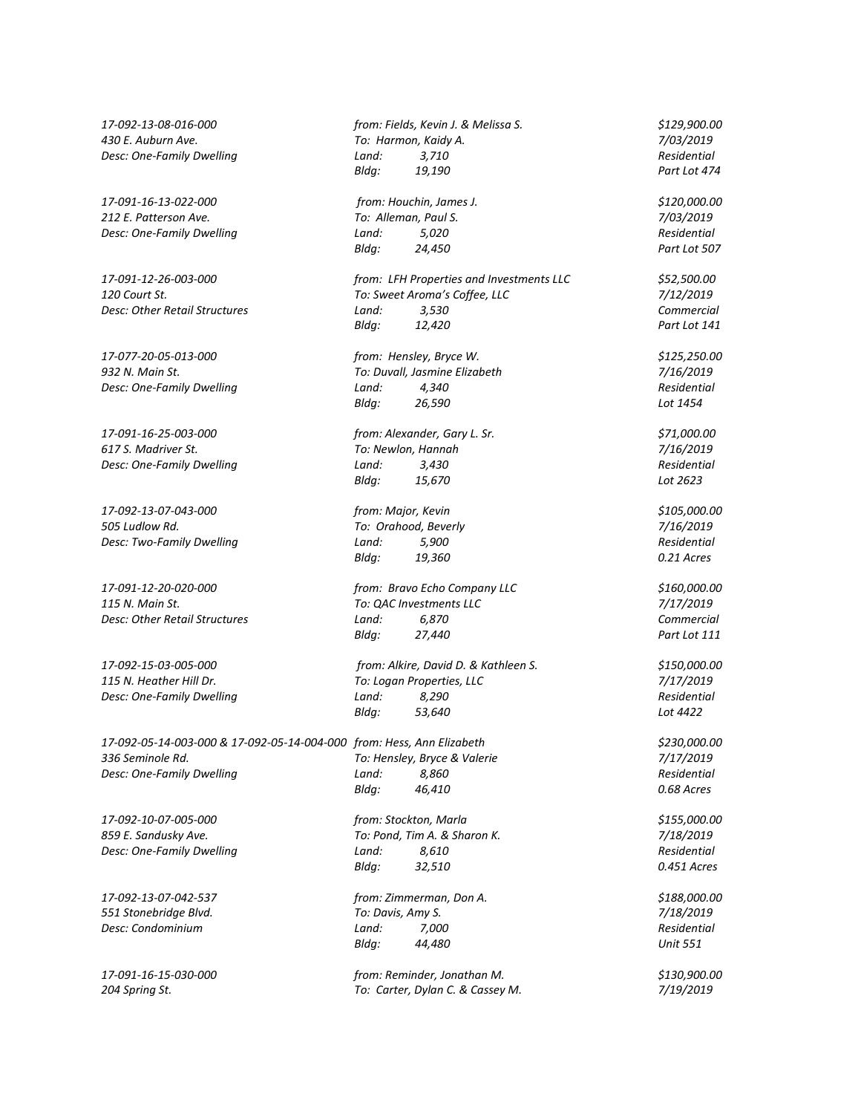*212 E. Patterson Ave. To: Alleman, Paul S. 7/03/2019*

*17-092-05-14-003-000 & 17-092-05-14-004-000 from: Hess, Ann Elizabeth \$230,000.00 336 Seminole Rd. To: Hensley, Bryce & Valerie 7/17/2019*

*17-092-13-08-016-000 from: Fields, Kevin J. & Melissa S. \$129,900.00 430 E. Auburn Ave. To: Harmon, Kaidy A. 7/03/2019 Desc: One-Family Dwelling Land: 3,710 Residential Bldg: 19,190 Part Lot 474 17-091-16-13-022-000 from: Houchin, James J. \$120,000.00 Desc: One-Family Dwelling Land: 5,020 Residential Bldg: 24,450 Part Lot 507 17-091-12-26-003-000 from: LFH Properties and Investments LLC \$52,500.00 120 Court St. To: Sweet Aroma's Coffee, LLC 7/12/2019 Desc: Other Retail Structures Land: 3,530 Commercial Bldg: 12,420 Part Lot 141 17-077-20-05-013-000 from: Hensley, Bryce W. \$125,250.00 932 N. Main St. To: Duvall, Jasmine Elizabeth 7/16/2019 Desc: One-Family Dwelling Land: 4,340 Residential Bldg: 26,590 Lot 1454 17-091-16-25-003-000 from: Alexander, Gary L. Sr. \$71,000.00 617 S. Madriver St. To: Newlon, Hannah 7/16/2019 Desc: One-Family Dwelling Land: 3,430 Residential Bldg: 15,670 Lot 2623 17-092-13-07-043-000 from: Major, Kevin \$105,000.00 505 Ludlow Rd. To: Orahood, Beverly 7/16/2019 Desc: Two-Family Dwelling Land: 5,900 Residential Bldg: 19,360 0.21 Acres 17-091-12-20-020-000 from: Bravo Echo Company LLC \$160,000.00 115 N. Main St. To: QAC Investments LLC 7/17/2019 Desc: Other Retail Structures Land: 6,870 Commercial Bldg: 27,440 Part Lot 111 17-092-15-03-005-000 from: Alkire, David D. & Kathleen S. \$150,000.00 115 N. Heather Hill Dr. To: Logan Properties, LLC 7/17/2019 Desc: One-Family Dwelling Land: 8,290 Residential Bldg: 53,640 Lot 4422 Desc: One-Family Dwelling Land: 8,860 Residential Bldg: 46,410 0.68 Acres 17-092-10-07-005-000 from: Stockton, Marla \$155,000.00*

*859 E. Sandusky Ave. To: Pond, Tim A. & Sharon K. 7/18/2019 Desc: One-Family Dwelling Land: 8,610 Residential Bldg: 32,510 0.451 Acres*

*17-092-13-07-042-537 from: Zimmerman, Don A. \$188,000.00 551 Stonebridge Blvd. To: Davis, Amy S. 7/18/2019 Desc: Condominium Land: 7,000 Residential Bldg: 44,480 Unit 551*

*17-091-16-15-030-000 from: Reminder, Jonathan M. \$130,900.00 204 Spring St. To: Carter, Dylan C. & Cassey M. 7/19/2019*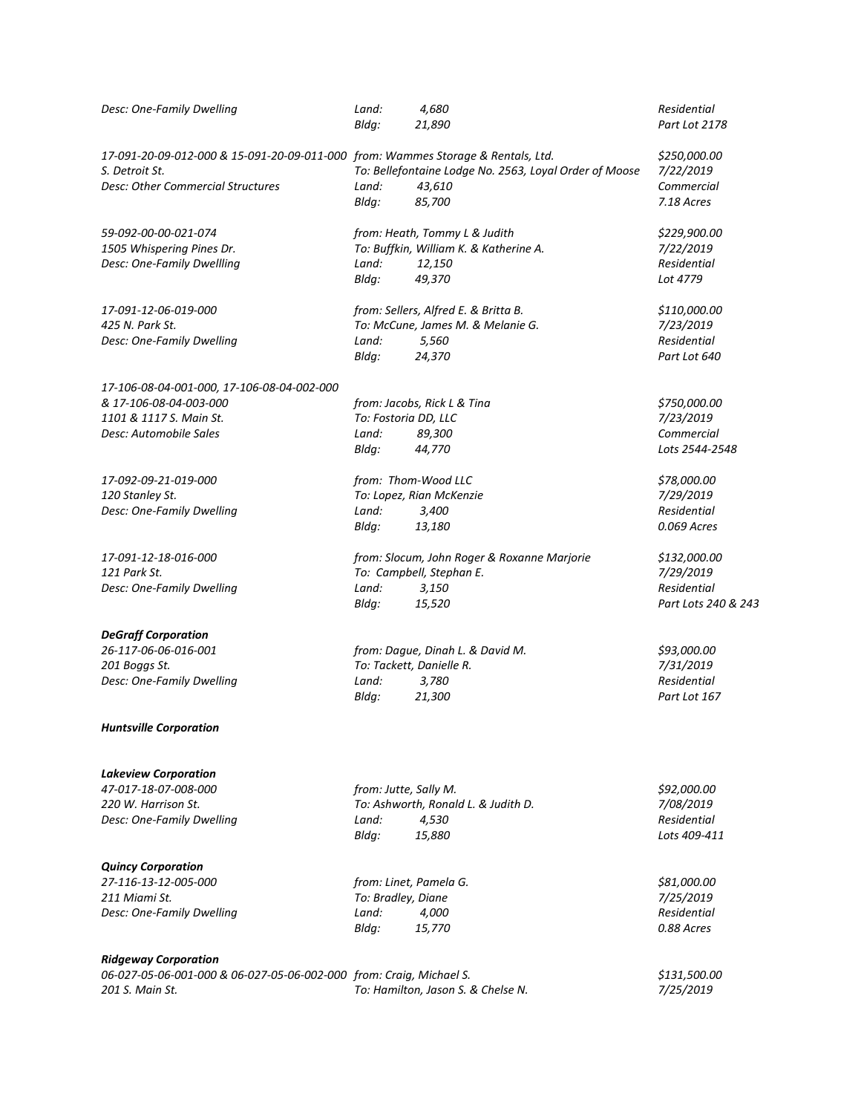| Desc: One-Family Dwelling                                                        | Land:<br>Bldg:         | 4,680<br>21,890                                        | Residential<br>Part Lot 2178 |
|----------------------------------------------------------------------------------|------------------------|--------------------------------------------------------|------------------------------|
| 17-091-20-09-012-000 & 15-091-20-09-011-000 from: Wammes Storage & Rentals, Ltd. |                        |                                                        | \$250,000.00                 |
| S. Detroit St.                                                                   |                        | To: Bellefontaine Lodge No. 2563, Loyal Order of Moose | 7/22/2019                    |
| <b>Desc: Other Commercial Structures</b>                                         | Land:                  | 43,610                                                 | Commercial                   |
|                                                                                  | Bldg:                  | 85,700                                                 | 7.18 Acres                   |
| 59-092-00-00-021-074                                                             |                        | from: Heath, Tommy L & Judith                          | \$229,900.00                 |
| 1505 Whispering Pines Dr.                                                        |                        | To: Buffkin, William K. & Katherine A.                 | 7/22/2019                    |
| Desc: One-Family Dwellling                                                       | Land:                  | 12,150                                                 | Residential                  |
|                                                                                  | Bldg:                  | 49,370                                                 | Lot 4779                     |
| 17-091-12-06-019-000                                                             |                        | from: Sellers, Alfred E. & Britta B.                   | \$110,000.00                 |
| 425 N. Park St.                                                                  |                        | To: McCune, James M. & Melanie G.                      | 7/23/2019                    |
| Desc: One-Family Dwelling                                                        | Land:                  | 5,560                                                  | Residential                  |
|                                                                                  | Bldg:                  | 24,370                                                 | Part Lot 640                 |
| 17-106-08-04-001-000, 17-106-08-04-002-000                                       |                        |                                                        |                              |
| & 17-106-08-04-003-000                                                           |                        | from: Jacobs, Rick L & Tina                            | \$750,000.00                 |
| 1101 & 1117 S. Main St.                                                          | To: Fostoria DD, LLC   |                                                        | 7/23/2019                    |
| Desc: Automobile Sales                                                           | Land:                  | 89,300                                                 | Commercial                   |
|                                                                                  | Bldq:                  | 44,770                                                 | Lots 2544-2548               |
| 17-092-09-21-019-000                                                             |                        | from: Thom-Wood LLC                                    | \$78,000.00                  |
| 120 Stanley St.                                                                  |                        | To: Lopez, Rian McKenzie                               | 7/29/2019                    |
| Desc: One-Family Dwelling                                                        | Land:                  | 3,400                                                  | Residential                  |
|                                                                                  | Bldg:                  | 13,180                                                 | 0.069 Acres                  |
| 17-091-12-18-016-000                                                             |                        | from: Slocum, John Roger & Roxanne Marjorie            | \$132,000.00                 |
| 121 Park St.                                                                     |                        | To: Campbell, Stephan E.                               | 7/29/2019                    |
| Desc: One-Family Dwelling                                                        | Land:                  | 3,150                                                  | Residential                  |
|                                                                                  | Bldg:                  | 15,520                                                 | Part Lots 240 & 243          |
| <b>DeGraff Corporation</b>                                                       |                        |                                                        |                              |
| 26-117-06-06-016-001                                                             |                        | from: Dague, Dinah L. & David M.                       | \$93,000.00                  |
| 201 Boggs St.                                                                    |                        | To: Tackett, Danielle R.                               | 7/31/2019                    |
| Desc: One-Family Dwelling                                                        | Land:                  | 3,780                                                  | Residential                  |
|                                                                                  | Bldg:                  | 21,300                                                 | Part Lot 167                 |
| <b>Huntsville Corporation</b>                                                    |                        |                                                        |                              |
| <b>Lakeview Corporation</b>                                                      |                        |                                                        |                              |
| 47-017-18-07-008-000                                                             | from: Jutte, Sally M.  |                                                        | \$92,000.00                  |
| 220 W. Harrison St.                                                              |                        | To: Ashworth, Ronald L. & Judith D.                    | 7/08/2019                    |
| Desc: One-Family Dwelling                                                        | Land:                  | 4,530                                                  | <b>Residential</b>           |
|                                                                                  | Bldg:                  | 15,880                                                 | Lots 409-411                 |
| <b>Quincy Corporation</b>                                                        |                        |                                                        |                              |
| 27-116-13-12-005-000                                                             | from: Linet, Pamela G. |                                                        | \$81,000.00                  |
| 211 Miami St.                                                                    | To: Bradley, Diane     |                                                        | 7/25/2019                    |
| Desc: One-Family Dwelling                                                        | Land:                  | 4,000                                                  | Residential                  |
|                                                                                  | Bldg:                  | 15,770                                                 | 0.88 Acres                   |
| <b>Ridgeway Corporation</b>                                                      |                        |                                                        |                              |
| 06-027-05-06-001-000 & 06-027-05-06-002-000 from: Craig, Michael S.              |                        |                                                        | \$131,500.00                 |
| 201 S. Main St.                                                                  |                        | To: Hamilton, Jason S. & Chelse N.                     | 7/25/2019                    |